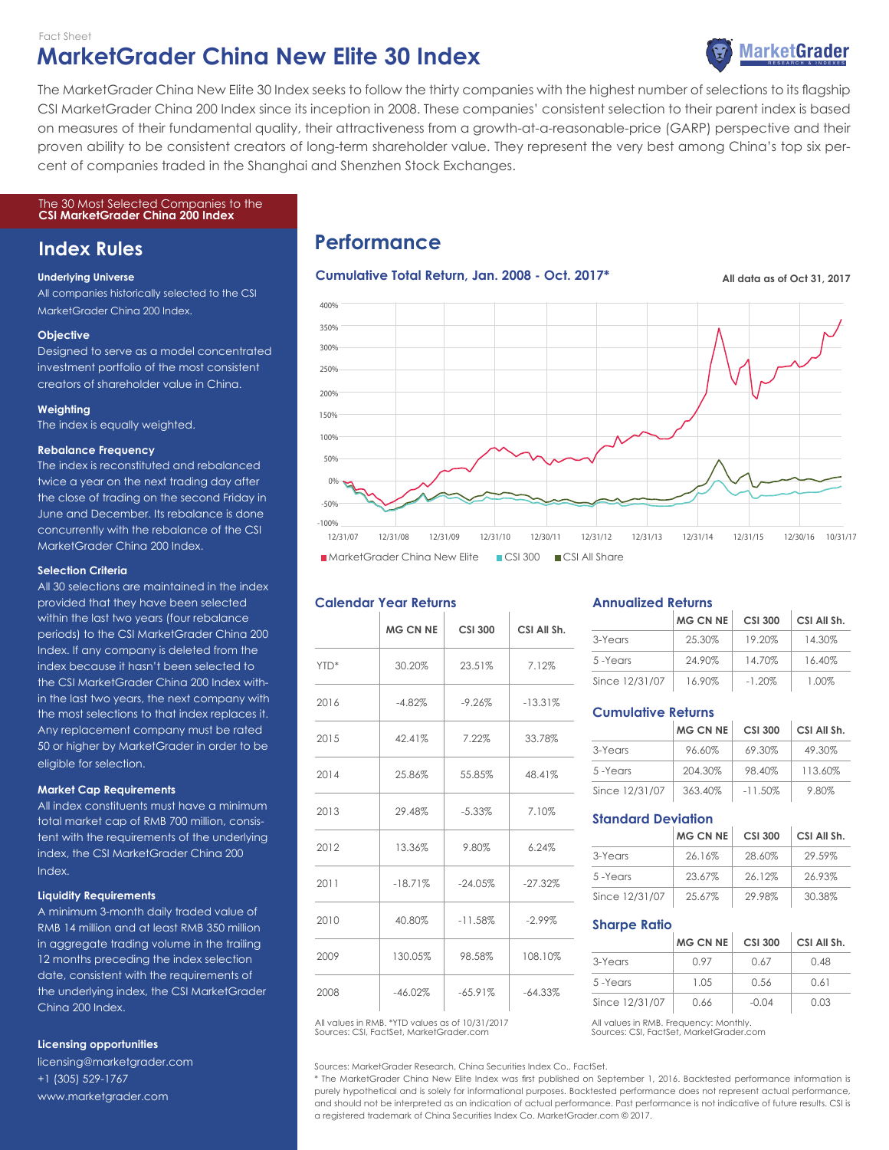## **MarketGrader China New Elite 30 Index** Fact Sheet



cent of companies traded in the Shanghai and Shenzhen Stock Exchanges. CSI MarketGrader China 200 Index since its inception in 2008. These companies' consistent selection to their parent index is based The MarketGrader China New Elite 30 Index seeks to follow the thirty companies with the highest number of selections to its flagship on measures of their fundamental quality, their attractiveness from a growth-at-a-reasonable-price (GARP) perspective and their proven ability to be consistent creators of long-term shareholder value. They represent the very best among China's top six per-

#### The 30 Most Selected Companies to the **CSI MarketGrader China 200 Index**

# **Index Rules**

#### **Underlying Universe**

All companies historically selected to the CSI MarketGrader China 200 Index.

#### **Objective**

Designed to serve as a model concentrated investment portfolio of the most consistent creators of shareholder value in China.

## **Weighting**

The index is equally weighted.

#### **Rebalance Frequency**

The index is reconstituted and rebalanced twice a year on the next trading day after the close of trading on the second Friday in June and December. Its rebalance is done concurrently with the rebalance of the CSI MarketGrader China 200 Index.

#### **Selection Criteria**

All 30 selections are maintained in the index provided that they have been selected within the last two years (four rebalance periods) to the CSI MarketGrader China 200 Index. If any company is deleted from the index because it hasn't been selected to the CSI MarketGrader China 200 Index within the last two years, the next company with the most selections to that index replaces it. Any replacement company must be rated 50 or higher by MarketGrader in order to be eligible for selection.

#### **Market Cap Requirements**

All index constituents must have a minimum total market cap of RMB 700 million, consistent with the requirements of the underlying index, the CSI MarketGrader China 200 Index.

#### **Liquidity Requirements**

A minimum 3-month daily traded value of RMB 14 million and at least RMB 350 million in aggregate trading volume in the trailing 12 months preceding the index selection date, consistent with the requirements of the underlying index, the CSI MarketGrader China 200 Index.

## **Licensing opportunities**

licensing@marketgrader.com +1 (305) 529-1767 www.marketgrader.com

# **Performance**

## **Cumulative Total Return, Jan. 2008 - Oct. 2017\* All data as of Oct 31, 2017**



## **Calendar Year Returns**

|      | <b>MG CN NE</b> | <b>CSI 300</b> | CSI All Sh. |
|------|-----------------|----------------|-------------|
| YTD* | 30.20%          | 23.51%         | 7.12%       |
| 2016 | $-4.82%$        | $-9.26%$       | $-13.31%$   |
| 2015 | 42.41%          | 7.22%          | 33.78%      |
| 2014 | 25.86%          | 55.85%         | 48.41%      |
| 2013 | 29.48%          | $-5.33%$       | 7.10%       |
| 2012 | 13.36%          | 9.80%          | 6.24%       |
| 2011 | $-18.71%$       | $-24.05%$      | $-27.32%$   |
| 2010 | 40.80%          | $-11.58%$      | $-2.99\%$   |
| 2009 | 130.05%         | 98.58%         | 108.10%     |
| 2008 | $-46.02\%$      | $-65.91\%$     | $-64.33%$   |

Sources: CSI, FactSet, MarketGrader.com All values in RMB. \*YTD values as of 10/31/2017 All values in RMB. Frequency: Monthly

Sources: MarketGrader Research, China Securities Index Co., FactSet.

\* The MarketGrader China New Elite Index was first published on September 1, 2016. Backtested performance information is purely hypothetical and is solely for informational purposes. Backtested performance does not represent actual performance, and should not be interpreted as an indication of actual performance. Past performance is not indicative of future results. CSI is a registered trademark of China Securities Index Co. MarketGrader.com © 2017.

## **Annualized Returns**

|                | <b>MG CN NE</b> | <b>CSI 300</b> | CSI All Sh. |
|----------------|-----------------|----------------|-------------|
| 3-Years        | 25.30%          | 19.20%         | 14.30%      |
| 5-Years        | 24.90%          | 14.70%         | 16.40%      |
| Since 12/31/07 | 16.90%          | $-1.20\%$      | 1.00%       |

## **Cumulative Returns**

|                | <b>MG CN NE</b> | <b>CSI 300</b> | CSI All Sh. |
|----------------|-----------------|----------------|-------------|
| 3-Years        | 96.60%          | 69.30%         | 49.30%      |
| 5-Years        | 204.30%         | 98.40%         | 113.60%     |
| Since 12/31/07 | 363.40%         | $-11.50\%$     | 9.80%       |

## **Standard Deviation**

|                | <b>MG CN NE</b> | <b>CSI 300</b> | CSI All Sh. |
|----------------|-----------------|----------------|-------------|
| 3-Years        | 26.16%          | 28.60%         | 29.59%      |
| 5-Years        | 23.67%          | 26.12%         | 26.93%      |
| Since 12/31/07 | 25.67%          | 29.98%         | 30.38%      |

## **Sharpe Ratio**

|                | <b>MG CN NE</b> | <b>CSI 300</b> | CSI All Sh. |
|----------------|-----------------|----------------|-------------|
| 3-Years        | O 97            | 0.67           | 0.48        |
| 5-Years        | 1.05            | 0.56           | 0.61        |
| Since 12/31/07 | 0.66            | $-0.04$        | 0.03        |

Sources: CSI, FactSet, MarketGrader.com